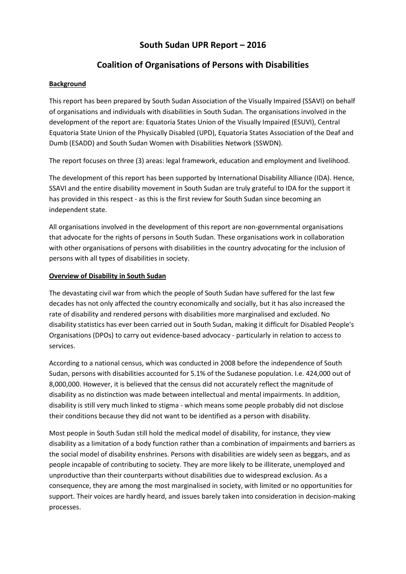# **South Sudan UPR Report – 2016**

# **Coalition of Organisations of Persons with Disabilities**

### **Background**

This report has been prepared by South Sudan Association of the Visually Impaired (SSAVI) on behalf of organisations and individuals with disabilities in South Sudan. The organisations involved in the development of the report are: Equatoria States Union of the Visually Impaired (ESUVI), Central Equatoria State Union of the Physically Disabled (UPD), Equatoria States Association of the Deaf and Dumb (ESADD) and South Sudan Women with Disabilities Network (SSWDN).

The report focuses on three (3) areas: legal framework, education and employment and livelihood.

The development of this report has been supported by International Disability Alliance (IDA). Hence, SSAVI and the entire disability movement in South Sudan are truly grateful to IDA for the support it has provided in this respect - as this is the first review for South Sudan since becoming an independent state.

All organisations involved in the development of this report are non-governmental organisations that advocate for the rights of persons in South Sudan. These organisations work in collaboration with other organisations of persons with disabilities in the country advocating for the inclusion of persons with all types of disabilities in society.

### **Overview of Disability in South Sudan**

The devastating civil war from which the people of South Sudan have suffered for the last few decades has not only affected the country economically and socially, but it has also increased the rate of disability and rendered persons with disabilities more marginalised and excluded. No disability statistics has ever been carried out in South Sudan, making it difficult for Disabled People's Organisations (DPOs) to carry out evidence-based advocacy - particularly in relation to access to services.

According to a national census, which was conducted in 2008 before the independence of South Sudan, persons with disabilities accounted for 5.1% of the Sudanese population. I.e. 424,000 out of 8,000,000. However, it is believed that the census did not accurately reflect the magnitude of disability as no distinction was made between intellectual and mental impairments. In addition, disability is still very much linked to stigma - which means some people probably did not disclose their conditions because they did not want to be identified as a person with disability.

Most people in South Sudan still hold the medical model of disability, for instance, they view disability as a limitation of a body function rather than a combination of impairments and barriers as the social model of disability enshrines. Persons with disabilities are widely seen as beggars, and as people incapable of contributing to society. They are more likely to be illiterate, unemployed and unproductive than their counterparts without disabilities due to widespread exclusion. As a consequence, they are among the most marginalised in society, with limited or no opportunities for support. Their voices are hardly heard, and issues barely taken into consideration in decision-making processes.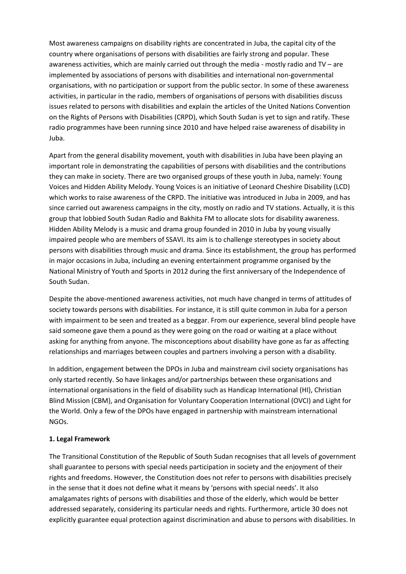Most awareness campaigns on disability rights are concentrated in Juba, the capital city of the country where organisations of persons with disabilities are fairly strong and popular. These awareness activities, which are mainly carried out through the media - mostly radio and TV – are implemented by associations of persons with disabilities and international non-governmental organisations, with no participation or support from the public sector. In some of these awareness activities, in particular in the radio, members of organisations of persons with disabilities discuss issues related to persons with disabilities and explain the articles of the United Nations Convention on the Rights of Persons with Disabilities (CRPD), which South Sudan is yet to sign and ratify. These radio programmes have been running since 2010 and have helped raise awareness of disability in Juba.

Apart from the general disability movement, youth with disabilities in Juba have been playing an important role in demonstrating the capabilities of persons with disabilities and the contributions they can make in society. There are two organised groups of these youth in Juba, namely: Young Voices and Hidden Ability Melody. Young Voices is an initiative of Leonard Cheshire Disability (LCD) which works to raise awareness of the CRPD. The initiative was introduced in Juba in 2009, and has since carried out awareness campaigns in the city, mostly on radio and TV stations. Actually, it is this group that lobbied South Sudan Radio and Bakhita FM to allocate slots for disability awareness. Hidden Ability Melody is a music and drama group founded in 2010 in Juba by young visually impaired people who are members of SSAVI. Its aim is to challenge stereotypes in society about persons with disabilities through music and drama. Since its establishment, the group has performed in major occasions in Juba, including an evening entertainment programme organised by the National Ministry of Youth and Sports in 2012 during the first anniversary of the Independence of South Sudan.

Despite the above-mentioned awareness activities, not much have changed in terms of attitudes of society towards persons with disabilities. For instance, it is still quite common in Juba for a person with impairment to be seen and treated as a beggar. From our experience, several blind people have said someone gave them a pound as they were going on the road or waiting at a place without asking for anything from anyone. The misconceptions about disability have gone as far as affecting relationships and marriages between couples and partners involving a person with a disability.

In addition, engagement between the DPOs in Juba and mainstream civil society organisations has only started recently. So have linkages and/or partnerships between these organisations and international organisations in the field of disability such as Handicap International (HI), Christian Blind Mission (CBM), and Organisation for Voluntary Cooperation International (OVCI) and Light for the World. Only a few of the DPOs have engaged in partnership with mainstream international NGOs.

#### **1. Legal Framework**

The Transitional Constitution of the Republic of South Sudan recognises that all levels of government shall guarantee to persons with special needs participation in society and the enjoyment of their rights and freedoms. However, the Constitution does not refer to persons with disabilities precisely in the sense that it does not define what it means by 'persons with special needs'. It also amalgamates rights of persons with disabilities and those of the elderly, which would be better addressed separately, considering its particular needs and rights. Furthermore, article 30 does not explicitly guarantee equal protection against discrimination and abuse to persons with disabilities. In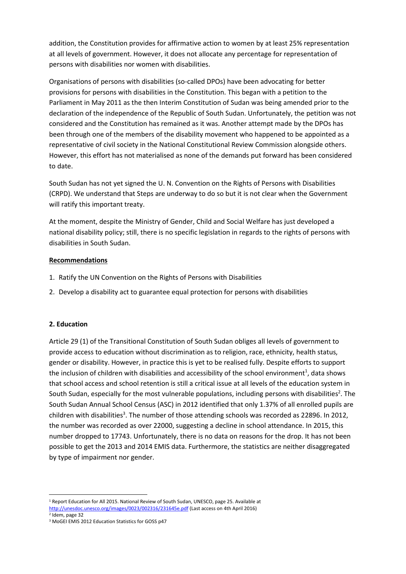addition, the Constitution provides for affirmative action to women by at least 25% representation at all levels of government. However, it does not allocate any percentage for representation of persons with disabilities nor women with disabilities.

Organisations of persons with disabilities (so-called DPOs) have been advocating for better provisions for persons with disabilities in the Constitution. This began with a petition to the Parliament in May 2011 as the then Interim Constitution of Sudan was being amended prior to the declaration of the independence of the Republic of South Sudan. Unfortunately, the petition was not considered and the Constitution has remained as it was. Another attempt made by the DPOs has been through one of the members of the disability movement who happened to be appointed as a representative of civil society in the National Constitutional Review Commission alongside others. However, this effort has not materialised as none of the demands put forward has been considered to date.

South Sudan has not yet signed the U. N. Convention on the Rights of Persons with Disabilities (CRPD). We understand that Steps are underway to do so but it is not clear when the Government will ratify this important treaty.

At the moment, despite the Ministry of Gender, Child and Social Welfare has just developed a national disability policy; still, there is no specific legislation in regards to the rights of persons with disabilities in South Sudan.

### **Recommendations**

- 1. Ratify the UN Convention on the Rights of Persons with Disabilities
- 2. Develop a disability act to guarantee equal protection for persons with disabilities

### **2. Education**

Article 29 (1) of the Transitional Constitution of South Sudan obliges all levels of government to provide access to education without discrimination as to religion, race, ethnicity, health status, gender or disability. However, in practice this is yet to be realised fully. Despite efforts to support the inclusion of children with disabilities and accessibility of the school environment<sup>1</sup>, data shows that school access and school retention is still a critical issue at all levels of the education system in South Sudan, especially for the most vulnerable populations, including persons with disabilities<sup>2</sup>. The South Sudan Annual School Census (ASC) in 2012 identified that only 1.37% of all enrolled pupils are children with disabilities<sup>3</sup>. The number of those attending schools was recorded as 22896. In 2012, the number was recorded as over 22000, suggesting a decline in school attendance. In 2015, this number dropped to 17743. Unfortunately, there is no data on reasons for the drop. It has not been possible to get the 2013 and 2014 EMIS data. Furthermore, the statistics are neither disaggregated by type of impairment nor gender.

**<sup>.</sup>** <sup>1</sup> Report Education for All 2015. National Review of South Sudan, UNESCO, page 25. Available at <http://unesdoc.unesco.org/images/0023/002316/231645e.pdf> (Last access on 4th April 2016)

<sup>2</sup> Idem, page 32

<sup>3</sup> MoGEI EMIS 2012 Education Statistics for GOSS p47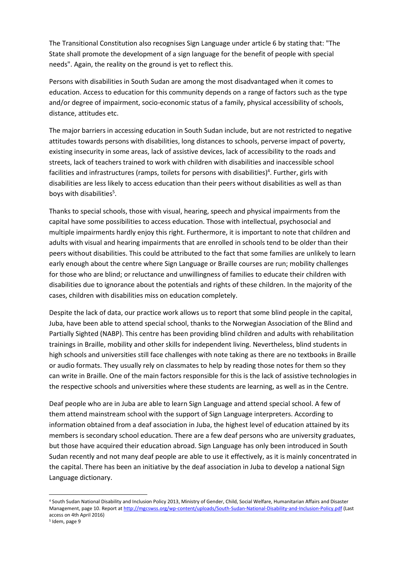The Transitional Constitution also recognises Sign Language under article 6 by stating that: "The State shall promote the development of a sign language for the benefit of people with special needs". Again, the reality on the ground is yet to reflect this.

Persons with disabilities in South Sudan are among the most disadvantaged when it comes to education. Access to education for this community depends on a range of factors such as the type and/or degree of impairment, socio-economic status of a family, physical accessibility of schools, distance, attitudes etc.

The major barriers in accessing education in South Sudan include, but are not restricted to negative attitudes towards persons with disabilities, long distances to schools, perverse impact of poverty, existing insecurity in some areas, lack of assistive devices, lack of accessibility to the roads and streets, lack of teachers trained to work with children with disabilities and inaccessible school facilities and infrastructures (ramps, toilets for persons with disabilities)<sup>4</sup>. Further, girls with disabilities are less likely to access education than their peers without disabilities as well as than boys with disabilities<sup>5</sup>.

Thanks to special schools, those with visual, hearing, speech and physical impairments from the capital have some possibilities to access education. Those with intellectual, psychosocial and multiple impairments hardly enjoy this right. Furthermore, it is important to note that children and adults with visual and hearing impairments that are enrolled in schools tend to be older than their peers without disabilities. This could be attributed to the fact that some families are unlikely to learn early enough about the centre where Sign Language or Braille courses are run; mobility challenges for those who are blind; or reluctance and unwillingness of families to educate their children with disabilities due to ignorance about the potentials and rights of these children. In the majority of the cases, children with disabilities miss on education completely.

Despite the lack of data, our practice work allows us to report that some blind people in the capital, Juba, have been able to attend special school, thanks to the Norwegian Association of the Blind and Partially Sighted (NABP). This centre has been providing blind children and adults with rehabilitation trainings in Braille, mobility and other skills for independent living. Nevertheless, blind students in high schools and universities still face challenges with note taking as there are no textbooks in Braille or audio formats. They usually rely on classmates to help by reading those notes for them so they can write in Braille. One of the main factors responsible for this is the lack of assistive technologies in the respective schools and universities where these students are learning, as well as in the Centre.

Deaf people who are in Juba are able to learn Sign Language and attend special school. A few of them attend mainstream school with the support of Sign Language interpreters. According to information obtained from a deaf association in Juba, the highest level of education attained by its members is secondary school education. There are a few deaf persons who are university graduates, but those have acquired their education abroad. Sign Language has only been introduced in South Sudan recently and not many deaf people are able to use it effectively, as it is mainly concentrated in the capital. There has been an initiative by the deaf association in Juba to develop a national Sign Language dictionary.

**.** 

<sup>4</sup> South Sudan National Disability and Inclusion Policy 2013, Ministry of Gender, Child, Social Welfare, Humanitarian Affairs and Disaster Management, page 10. Report a[t http://mgcswss.org/wp-content/uploads/South-Sudan-National-Disability-and-Inclusion-Policy.pdf](http://mgcswss.org/wp-content/uploads/South-Sudan-National-Disability-and-Inclusion-Policy.pdf) (Last access on 4th April 2016)

<sup>5</sup> Idem, page 9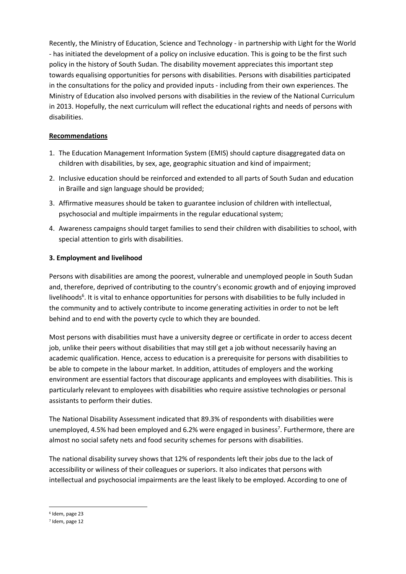Recently, the Ministry of Education, Science and Technology - in partnership with Light for the World - has initiated the development of a policy on inclusive education. This is going to be the first such policy in the history of South Sudan. The disability movement appreciates this important step towards equalising opportunities for persons with disabilities. Persons with disabilities participated in the consultations for the policy and provided inputs - including from their own experiences. The Ministry of Education also involved persons with disabilities in the review of the National Curriculum in 2013. Hopefully, the next curriculum will reflect the educational rights and needs of persons with disabilities.

### **Recommendations**

- 1. The Education Management Information System (EMIS) should capture disaggregated data on children with disabilities, by sex, age, geographic situation and kind of impairment;
- 2. Inclusive education should be reinforced and extended to all parts of South Sudan and education in Braille and sign language should be provided;
- 3. Affirmative measures should be taken to guarantee inclusion of children with intellectual, psychosocial and multiple impairments in the regular educational system;
- 4. Awareness campaigns should target families to send their children with disabilities to school, with special attention to girls with disabilities.

## **3. Employment and livelihood**

Persons with disabilities are among the poorest, vulnerable and unemployed people in South Sudan and, therefore, deprived of contributing to the country's economic growth and of enjoying improved livelihoods<sup>6</sup>. It is vital to enhance opportunities for persons with disabilities to be fully included in the community and to actively contribute to income generating activities in order to not be left behind and to end with the poverty cycle to which they are bounded.

Most persons with disabilities must have a university degree or certificate in order to access decent job, unlike their peers without disabilities that may still get a job without necessarily having an academic qualification. Hence, access to education is a prerequisite for persons with disabilities to be able to compete in the labour market. In addition, attitudes of employers and the working environment are essential factors that discourage applicants and employees with disabilities. This is particularly relevant to employees with disabilities who require assistive technologies or personal assistants to perform their duties.

The National Disability Assessment indicated that 89.3% of respondents with disabilities were unemployed, 4.5% had been employed and 6.2% were engaged in business<sup>7</sup>. Furthermore, there are almost no social safety nets and food security schemes for persons with disabilities.

The national disability survey shows that 12% of respondents left their jobs due to the lack of accessibility or wiliness of their colleagues or superiors. It also indicates that persons with intellectual and psychosocial impairments are the least likely to be employed. According to one of

<sup>1</sup> 6 Idem, page 23

<sup>7</sup> Idem, page 12